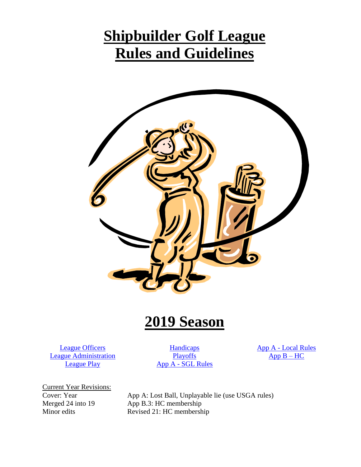# **Shipbuilder Golf League Rules and Guidelines**



# **2019 Season**

[League Officers](#page-1-0) [League Administration](#page-1-1) [League Play](#page-2-0)

[Handicaps](#page-4-0) **[Playoffs](#page-5-0)** App A - [SGL Rules](#page-7-0) App A - [Local Rules](#page-8-0)  $App B - HC$ 

Current Year Revisions:<br>Cover: Year

Cover: Year App A: Lost Ball, Unplayable lie (use USGA rules)<br>Merged 24 into 19 App B.3: HC membership App B.3: HC membership Minor edits Revised 21: HC membership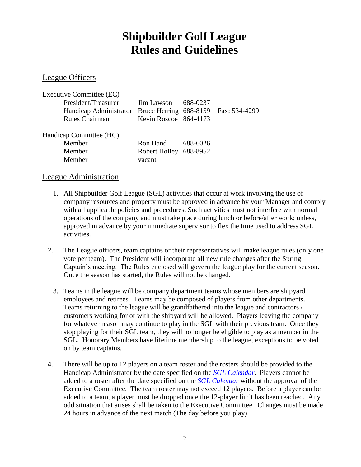# **Shipbuilder Golf League Rules and Guidelines**

### <span id="page-1-0"></span>League Officers

| Executive Committee (EC)                                    |                              |          |  |
|-------------------------------------------------------------|------------------------------|----------|--|
| President/Treasurer                                         | $\text{Jim}$ Lawson 688-0237 |          |  |
| Handicap Administrator Bruce Herring 688-8159 Fax: 534-4299 |                              |          |  |
| Rules Chairman                                              | Kevin Roscoe 864-4173        |          |  |
| Handicap Committee (HC)                                     |                              |          |  |
| Member                                                      | Ron Hand                     | 688-6026 |  |
| Member                                                      | Robert Holley 688-8952       |          |  |
| Member                                                      | vacant                       |          |  |

### <span id="page-1-1"></span>League Administration

- 1. All Shipbuilder Golf League (SGL) activities that occur at work involving the use of company resources and property must be approved in advance by your Manager and comply with all applicable policies and procedures. Such activities must not interfere with normal operations of the company and must take place during lunch or before/after work; unless, approved in advance by your immediate supervisor to flex the time used to address SGL activities.
- 2. The League officers, team captains or their representatives will make league rules (only one vote per team). The President will incorporate all new rule changes after the Spring Captain's meeting. The Rules enclosed will govern the league play for the current season. Once the season has started, the Rules will not be changed.
	- 3. Teams in the league will be company department teams whose members are shipyard employees and retirees. Teams may be composed of players from other departments. Teams returning to the league will be grandfathered into the league and contractors / customers working for or with the shipyard will be allowed. Players leaving the company for whatever reason may continue to play in the SGL with their previous team. Once they stop playing for their SGL team, they will no longer be eligible to play as a member in the SGL. Honorary Members have lifetime membership to the league, exceptions to be voted on by team captains.
- 4. There will be up to 12 players on a team roster and the rosters should be provided to the Handicap Administrator by the date specified on the *SGL Calendar*. Players cannot be added to a roster after the date specified on the *SGL Calendar* without the approval of the Executive Committee. The team roster may not exceed 12 players. Before a player can be added to a team, a player must be dropped once the 12-player limit has been reached. Any odd situation that arises shall be taken to the Executive Committee. Changes must be made 24 hours in advance of the next match (The day before you play).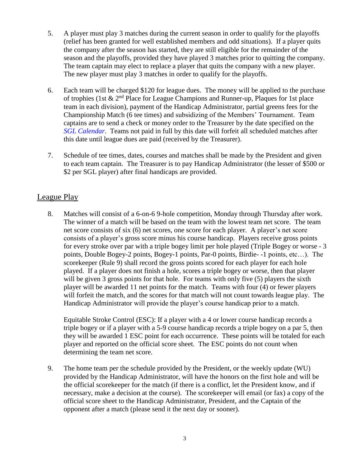- 5. A player must play 3 matches during the current season in order to qualify for the playoffs (relief has been granted for well established members and odd situations). If a player quits the company after the season has started, they are still eligible for the remainder of the season and the playoffs, provided they have played 3 matches prior to quitting the company. The team captain may elect to replace a player that quits the company with a new player. The new player must play 3 matches in order to qualify for the playoffs.
- 6. Each team will be charged \$120 for league dues. The money will be applied to the purchase of trophies (1st  $\&$  2<sup>nd</sup> Place for League Champions and Runner-up, Plaques for 1st place team in each division), payment of the Handicap Administrator, partial greens fees for the Championship Match (6 tee times) and subsidizing of the Members' Tournament. Team captains are to send a check or money order to the Treasurer by the date specified on the *SGL Calendar*. Teams not paid in full by this date will forfeit all scheduled matches after this date until league dues are paid (received by the Treasurer).
- 7. Schedule of tee times, dates, courses and matches shall be made by the President and given to each team captain. The Treasurer is to pay Handicap Administrator (the lesser of \$500 or \$2 per SGL player) after final handicaps are provided.

# <span id="page-2-0"></span>League Play

8. Matches will consist of a 6-on-6 9-hole competition, Monday through Thursday after work. The winner of a match will be based on the team with the lowest team net score. The team net score consists of six (6) net scores, one score for each player. A player's net score consists of a player's gross score minus his course handicap. Players receive gross points for every stroke over par with a triple bogey limit per hole played (Triple Bogey or worse - 3 points, Double Bogey-2 points, Bogey-1 points, Par-0 points, Birdie- -1 points, etc…). The scorekeeper (Rule 9) shall record the gross points scored for each player for each hole played. If a player does not finish a hole, scores a triple bogey or worse, then that player will be given 3 gross points for that hole. For teams with only five (5) players the sixth player will be awarded 11 net points for the match. Teams with four (4) or fewer players will forfeit the match, and the scores for that match will not count towards league play. The Handicap Administrator will provide the player's course handicap prior to a match.

Equitable Stroke Control (ESC): If a player with a 4 or lower course handicap records a triple bogey or if a player with a 5-9 course handicap records a triple bogey on a par 5, then they will be awarded 1 ESC point for each occurrence. These points will be totaled for each player and reported on the official score sheet. The ESC points do not count when determining the team net score.

9. The home team per the schedule provided by the President, or the weekly update (WU) provided by the Handicap Administrator, will have the honors on the first hole and will be the official scorekeeper for the match (if there is a conflict, let the President know, and if necessary, make a decision at the course). The scorekeeper will email (or fax) a copy of the official score sheet to the Handicap Administrator, President, and the Captain of the opponent after a match (please send it the next day or sooner).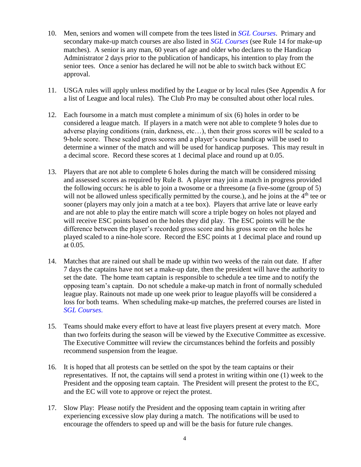- 10. Men, seniors and women will compete from the tees listed in *SGL Courses*. Primary and secondary make-up match courses are also listed in *SGL Courses* (see Rule 14 for make-up matches). A senior is any man, 60 years of age and older who declares to the Handicap Administrator 2 days prior to the publication of handicaps, his intention to play from the senior tees. Once a senior has declared he will not be able to switch back without EC approval.
- 11. USGA rules will apply unless modified by the League or by local rules (See Appendix A for a list of League and local rules). The Club Pro may be consulted about other local rules.
- 12. Each foursome in a match must complete a minimum of six (6) holes in order to be considered a league match. If players in a match were not able to complete 9 holes due to adverse playing conditions (rain, darkness, etc…), then their gross scores will be scaled to a 9-hole score. These scaled gross scores and a player's course handicap will be used to determine a winner of the match and will be used for handicap purposes. This may result in a decimal score. Record these scores at 1 decimal place and round up at 0.05.
- 13. Players that are not able to complete 6 holes during the match will be considered missing and assessed scores as required by Rule 8. A player may join a match in progress provided the following occurs: he is able to join a twosome or a threesome (a five-some (group of 5) will not be allowed unless specifically permitted by the course.), and he joins at the  $4<sup>th</sup>$  tee or sooner (players may only join a match at a tee box). Players that arrive late or leave early and are not able to play the entire match will score a triple bogey on holes not played and will receive ESC points based on the holes they did play. The ESC points will be the difference between the player's recorded gross score and his gross score on the holes he played scaled to a nine-hole score. Record the ESC points at 1 decimal place and round up at 0.05.
- 14. Matches that are rained out shall be made up within two weeks of the rain out date. If after 7 days the captains have not set a make-up date, then the president will have the authority to set the date. The home team captain is responsible to schedule a tee time and to notify the opposing team's captain. Do not schedule a make-up match in front of normally scheduled league play. Rainouts not made up one week prior to league playoffs will be considered a loss for both teams. When scheduling make-up matches, the preferred courses are listed in *SGL Courses.*
- 15. Teams should make every effort to have at least five players present at every match. More than two forfeits during the season will be viewed by the Executive Committee as excessive. The Executive Committee will review the circumstances behind the forfeits and possibly recommend suspension from the league.
- 16. It is hoped that all protests can be settled on the spot by the team captains or their representatives. If not, the captains will send a protest in writing within one (1) week to the President and the opposing team captain. The President will present the protest to the EC, and the EC will vote to approve or reject the protest.
- 17. Slow Play: Please notify the President and the opposing team captain in writing after experiencing excessive slow play during a match. The notifications will be used to encourage the offenders to speed up and will be the basis for future rule changes.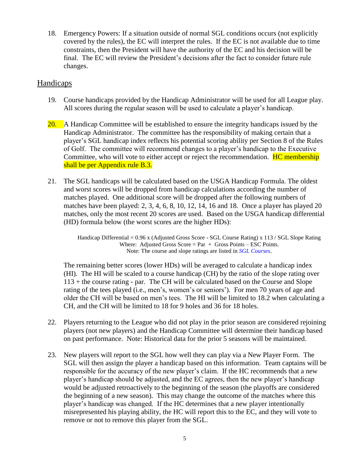18. Emergency Powers: If a situation outside of normal SGL conditions occurs (not explicitly covered by the rules), the EC will interpret the rules. If the EC is not available due to time constraints, then the President will have the authority of the EC and his decision will be final. The EC will review the President's decisions after the fact to consider future rule changes.

## <span id="page-4-0"></span>Handicaps

- 19. Course handicaps provided by the Handicap Administrator will be used for all League play. All scores during the regular season will be used to calculate a player's handicap.
- 20. A Handicap Committee will be established to ensure the integrity handicaps issued by the Handicap Administrator. The committee has the responsibility of making certain that a player's SGL handicap index reflects his potential scoring ability per Section 8 of the Rules of Golf. The committee will recommend changes to a player's handicap to the Executive Committee, who will vote to either accept or reject the recommendation. **HC membership** shall be per Appendix rule B.3.
- 21. The SGL handicaps will be calculated based on the USGA Handicap Formula. The oldest and worst scores will be dropped from handicap calculations according the number of matches played. One additional score will be dropped after the following numbers of matches have been played: 2, 3, 4, 6, 8, 10, 12, 14, 16 and 18. Once a player has played 20 matches, only the most recent 20 scores are used. Based on the USGA handicap differential (HD) formula below (the worst scores are the higher HDs):

Handicap Differential = 0.96 x (Adjusted Gross Score - SGL Course Rating) x 113 / SGL Slope Rating Where: Adjusted Gross Score =  $Par + Gross$  Points – ESC Points. Note: The course and slope ratings are listed in *SGL Courses*.

The remaining better scores (lower HDs) will be averaged to calculate a handicap index (HI). The HI will be scaled to a course handicap (CH) by the ratio of the slope rating over 113 + the course rating - par. The CH will be calculated based on the Course and Slope rating of the tees played (i.e., men's, women's or seniors'). For men 70 years of age and older the CH will be based on men's tees. The HI will be limited to 18.2 when calculating a CH, and the CH will be limited to 18 for 9 holes and 36 for 18 holes.

- 22. Players returning to the League who did not play in the prior season are considered rejoining players (not new players) and the Handicap Committee will determine their handicap based on past performance. Note: Historical data for the prior 5 seasons will be maintained.
- 23. New players will report to the SGL how well they can play via a New Player Form. The SGL will then assign the player a handicap based on this information. Team captains will be responsible for the accuracy of the new player's claim. If the HC recommends that a new player's handicap should be adjusted, and the EC agrees, then the new player's handicap would be adjusted retroactively to the beginning of the season (the playoffs are considered the beginning of a new season). This may change the outcome of the matches where this player's handicap was changed. If the HC determines that a new player intentionally misrepresented his playing ability, the HC will report this to the EC, and they will vote to remove or not to remove this player from the SGL.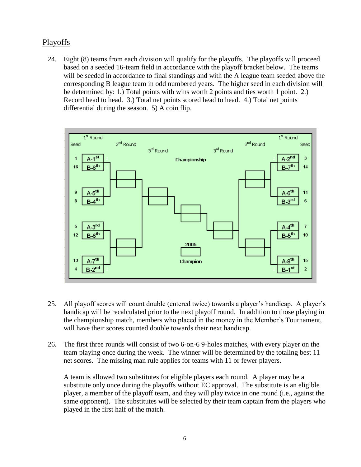# <span id="page-5-0"></span>Playoffs

24. Eight (8) teams from each division will qualify for the playoffs. The playoffs will proceed based on a seeded 16-team field in accordance with the playoff bracket below. The teams will be seeded in accordance to final standings and with the A league team seeded above the corresponding B league team in odd numbered years. The higher seed in each division will be determined by: 1.) Total points with wins worth 2 points and ties worth 1 point. 2.) Record head to head. 3.) Total net points scored head to head. 4.) Total net points differential during the season. 5) A coin flip.



- 25. All playoff scores will count double (entered twice) towards a player's handicap. A player's handicap will be recalculated prior to the next playoff round. In addition to those playing in the championship match, members who placed in the money in the Member's Tournament, will have their scores counted double towards their next handicap.
- 26. The first three rounds will consist of two 6-on-6 9-holes matches, with every player on the team playing once during the week. The winner will be determined by the totaling best 11 net scores. The missing man rule applies for teams with 11 or fewer players.

A team is allowed two substitutes for eligible players each round. A player may be a substitute only once during the playoffs without EC approval. The substitute is an eligible player, a member of the playoff team, and they will play twice in one round (i.e., against the same opponent). The substitutes will be selected by their team captain from the players who played in the first half of the match.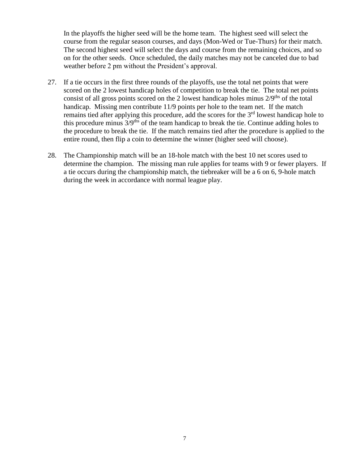In the playoffs the higher seed will be the home team. The highest seed will select the course from the regular season courses, and days (Mon-Wed or Tue-Thurs) for their match. The second highest seed will select the days and course from the remaining choices, and so on for the other seeds. Once scheduled, the daily matches may not be canceled due to bad weather before 2 pm without the President's approval.

- 27. If a tie occurs in the first three rounds of the playoffs, use the total net points that were scored on the 2 lowest handicap holes of competition to break the tie. The total net points consist of all gross points scored on the 2 lowest handicap holes minus  $2/9<sup>ths</sup>$  of the total handicap. Missing men contribute 11/9 points per hole to the team net. If the match remains tied after applying this procedure, add the scores for the  $3<sup>rd</sup>$  lowest handicap hole to this procedure minus  $3/9$ <sup>ths</sup> of the team handicap to break the tie. Continue adding holes to the procedure to break the tie. If the match remains tied after the procedure is applied to the entire round, then flip a coin to determine the winner (higher seed will choose).
- 28. The Championship match will be an 18-hole match with the best 10 net scores used to determine the champion. The missing man rule applies for teams with 9 or fewer players. If a tie occurs during the championship match, the tiebreaker will be a 6 on 6, 9-hole match during the week in accordance with normal league play.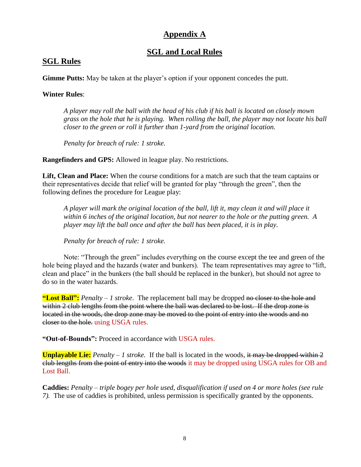# **Appendix A**

# **SGL and Local Rules**

# <span id="page-7-0"></span>**SGL Rules**

**Gimme Putts:** May be taken at the player's option if your opponent concedes the putt.

#### **Winter Rules**:

*A player may roll the ball with the head of his club if his ball is located on closely mown grass on the hole that he is playing. When rolling the ball, the player may not locate his ball closer to the green or roll it further than 1-yard from the original location.*

*Penalty for breach of rule: 1 stroke.*

**Rangefinders and GPS:** Allowed in league play. No restrictions.

**Lift, Clean and Place:** When the course conditions for a match are such that the team captains or their representatives decide that relief will be granted for play "through the green", then the following defines the procedure for League play:

*A player will mark the original location of the ball, lift it, may clean it and will place it within 6 inches of the original location, but not nearer to the hole or the putting green. A player may lift the ball once and after the ball has been placed, it is in play.*

*Penalty for breach of rule: 1 stroke.*

Note: "Through the green" includes everything on the course except the tee and green of the hole being played and the hazards (water and bunkers). The team representatives may agree to "lift, clean and place" in the bunkers (the ball should be replaced in the bunker), but should not agree to do so in the water hazards.

**"Lost Ball":** *Penalty – 1 stroke*. The replacement ball may be dropped no closer to the hole and within 2 club lengths from the point where the ball was declared to be lost. If the drop zone is located in the woods, the drop zone may be moved to the point of entry into the woods and no closer to the hole. using USGA rules.

**"Out-of-Bounds":** Proceed in accordance with USGA rules.

**Unplayable Lie:** *Penalty – 1 stroke.* If the ball is located in the woods, it may be dropped within 2 club lengths from the point of entry into the woods it may be dropped using USGA rules for OB and Lost Ball.

**Caddies:** *Penalty – triple bogey per hole used, disqualification if used on 4 or more holes (see rule 7).* The use of caddies is prohibited, unless permission is specifically granted by the opponents.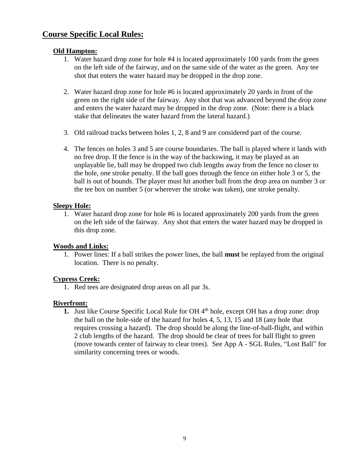# <span id="page-8-0"></span>**Course Specific Local Rules:**

#### **Old Hampton:**

- 1. Water hazard drop zone for hole #4 is located approximately 100 yards from the green on the left side of the fairway, and on the same side of the water as the green. Any tee shot that enters the water hazard may be dropped in the drop zone.
- 2. Water hazard drop zone for hole #6 is located approximately 20 yards in front of the green on the right side of the fairway. Any shot that was advanced beyond the drop zone and enters the water hazard may be dropped in the drop zone. (Note: there is a black stake that delineates the water hazard from the lateral hazard.)
- 3. Old railroad tracks between holes 1, 2, 8 and 9 are considered part of the course.
- 4. The fences on holes 3 and 5 are course boundaries. The ball is played where it lands with no free drop. If the fence is in the way of the backswing, it may be played as an unplayable lie, ball may be dropped two club lengths away from the fence no closer to the hole, one stroke penalty. If the ball goes through the fence on either hole 3 or 5, the ball is out of bounds. The player must hit another ball from the drop area on number 3 or the tee box on number 5 (or wherever the stroke was taken), one stroke penalty.

#### **Sleepy Hole:**

1. Water hazard drop zone for hole #6 is located approximately 200 yards from the green on the left side of the fairway. Any shot that enters the water hazard may be dropped in this drop zone.

#### **Woods and Links:**

1. Power lines: If a ball strikes the power lines, the ball **must** be replayed from the original location. There is no penalty.

## **Cypress Creek:**

1. Red tees are designated drop areas on all par 3s.

#### **Riverfront:**

**1.** Just like Course Specific Local Rule for OH 4<sup>th</sup> hole, except OH has a drop zone: drop the ball on the hole-side of the hazard for holes 4, 5, 13, 15 and 18 (any hole that requires crossing a hazard). The drop should be along the line-of-ball-flight, and within 2 club lengths of the hazard. The drop should be clear of trees for ball flight to green (move towards center of fairway to clear trees). See App A - SGL Rules, "Lost Ball" for similarity concerning trees or woods.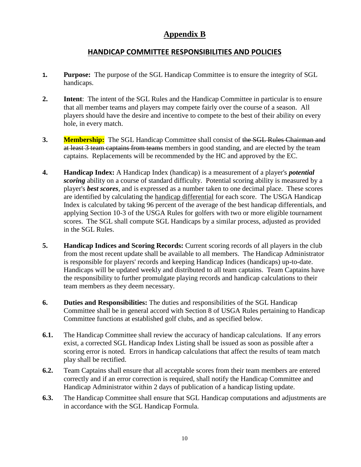# **Appendix B**

### **HANDICAP COMMITTEE RESPONSIBILITIES AND POLICIES**

- <span id="page-9-0"></span>**1. Purpose:** The purpose of the SGL Handicap Committee is to ensure the integrity of SGL handicaps.
- **2. Intent**: The intent of the SGL Rules and the Handicap Committee in particular is to ensure that all member teams and players may compete fairly over the course of a season. All players should have the desire and incentive to compete to the best of their ability on every hole, in every match.
- **3. Membership:** The SGL Handicap Committee shall consist of the SGL Rules Chairman and at least 3 team captains from teams members in good standing, and are elected by the team captains. Replacements will be recommended by the HC and approved by the EC.
- **4. Handicap Index:** A Handicap Index (handicap) is a measurement of a player's *potential scoring* ability on a course of standard difficulty. Potential scoring ability is measured by a player's *best scores*, and is expressed as a number taken to one decimal place. These scores are identified by calculating the handicap differential for each score. The USGA Handicap Index is calculated by taking 96 percent of the average of the best handicap differentials, and applying Section 10-3 of the USGA Rules for golfers with two or more eligible tournament scores. The SGL shall compute SGL Handicaps by a similar process, adjusted as provided in the SGL Rules.
- **5. Handicap Indices and Scoring Records:** Current scoring records of all players in the club from the most recent update shall be available to all members. The Handicap Administrator is responsible for players' records and keeping Handicap Indices (handicaps) up-to-date. Handicaps will be updated weekly and distributed to all team captains. Team Captains have the responsibility to further promulgate playing records and handicap calculations to their team members as they deem necessary.
- **6. Duties and Responsibilities:** The duties and responsibilities of the SGL Handicap Committee shall be in general accord with Section 8 of USGA Rules pertaining to Handicap Committee functions at established golf clubs, and as specified below.
- **6.1.** The Handicap Committee shall review the accuracy of handicap calculations. If any errors exist, a corrected SGL Handicap Index Listing shall be issued as soon as possible after a scoring error is noted. Errors in handicap calculations that affect the results of team match play shall be rectified.
- **6.2.** Team Captains shall ensure that all acceptable scores from their team members are entered correctly and if an error correction is required, shall notify the Handicap Committee and Handicap Administrator within 2 days of publication of a handicap listing update.
- **6.3.** The Handicap Committee shall ensure that SGL Handicap computations and adjustments are in accordance with the SGL Handicap Formula.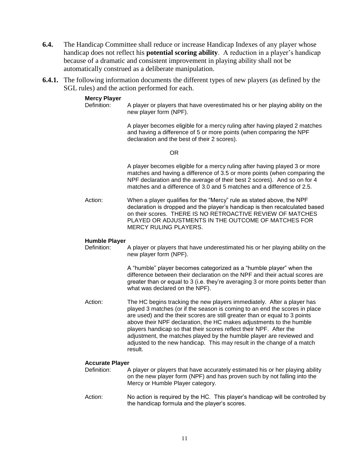- **6.4.** The Handicap Committee shall reduce or increase Handicap Indexes of any player whose handicap does not reflect his **potential scoring ability**. A reduction in a player's handicap because of a dramatic and consistent improvement in playing ability shall not be automatically construed as a deliberate manipulation.
- **6.4.1.** The following information documents the different types of new players (as defined by the SGL rules) and the action performed for each.

#### **Mercy Player**

Definition: A player or players that have overestimated his or her playing ability on the new player form (NPF).

> A player becomes eligible for a mercy ruling after having played 2 matches and having a difference of 5 or more points (when comparing the NPF declaration and the best of their 2 scores).

> > OR

A player becomes eligible for a mercy ruling after having played 3 or more matches and having a difference of 3.5 or more points (when comparing the NPF declaration and the average of their best 2 scores). And so on for 4 matches and a difference of 3.0 and 5 matches and a difference of 2.5.

Action: When a player qualifies for the "Mercy" rule as stated above, the NPF declaration is dropped and the player's handicap is then recalculated based on their scores. THERE IS NO RETROACTIVE REVIEW OF MATCHES PLAYED OR ADJUSTMENTS IN THE OUTCOME OF MATCHES FOR MERCY RULING PLAYERS.

#### **Humble Player**

Definition: A player or players that have underestimated his or her playing ability on the new player form (NPF).

> A "humble" player becomes categorized as a "humble player" when the difference between their declaration on the NPF and their actual scores are greater than or equal to 3 (i.e. they're averaging 3 or more points better than what was declared on the NPF).

Action: The HC begins tracking the new players immediately. After a player has played 3 matches (or if the season is coming to an end the scores in place are used) and the their scores are still greater than or equal to 3 points above their NPF declaration, the HC makes adjustments to the humble players handicap so that their scores reflect their NPF. After the adjustment, the matches played by the humble player are reviewed and adjusted to the new handicap. This may result in the change of a match result.

#### **Accurate Player**

- Definition: A player or players that have accurately estimated his or her playing ability on the new player form (NPF) and has proven such by not falling into the Mercy or Humble Player category.
- Action: No action is required by the HC. This player's handicap will be controlled by the handicap formula and the player's scores.